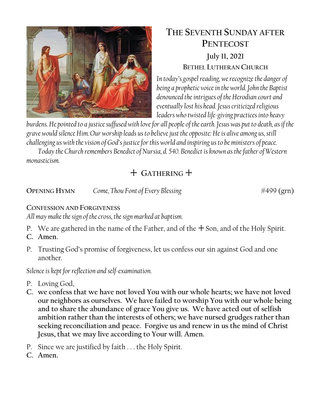

# **THE SEVENTH SUNDAY AFTER PENTECOST July 11, 2021 BETHEL LUTHERAN CHURCH**

*In today's gospel reading, we recognize the danger of being a prophetic voice in the world. John the Baptist denounced the intrigues of the Herodian court and eventually lost his head. Jesus criticized religious leaders who twisted life-giving practices into heavy* 

*burdens. He pointed to a justice suffused with love for all people of the earth. Jesus was put to death, as if the grave would silence Him. Our worship leads us to believe just the opposite: He is alive among us, still challenging us with the vision of God's justice for this world and inspiring us to be ministers of peace.*

*Today the Church remembers Benedict of Nursia, d. 540. Benedict is known as the father of Western monasticism.*

## + **GATHERING** +

**OPENING HYMN** *Come, Thou Font of Every Blessing*  $\#499 \text{ (grn)}$ 

### **CONFESSION AND FORGIVENESS**

*All may make the sign of the cross, the sign marked at baptism.*

- P. We are gathered in the name of the Father, and of the  $+$  Son, and of the Holy Spirit.
- **C. Amen.**
- P. Trusting God's promise of forgiveness, let us confess our sin against God and one another.

*Silence is kept for reflection and self-examination.*

- P. Loving God,
- **C. we confess that we have not loved You with our whole hearts; we have not loved our neighbors as ourselves. We have failed to worship You with our whole being and to share the abundance of grace You give us. We have acted out of selfish ambition rather than the interests of others; we have nursed grudges rather than seeking reconciliation and peace. Forgive us and renew in us the mind of Christ Jesus, that we may live according to Your will. Amen.**
- P. Since we are justified by faith . . . the Holy Spirit.
- **C. Amen.**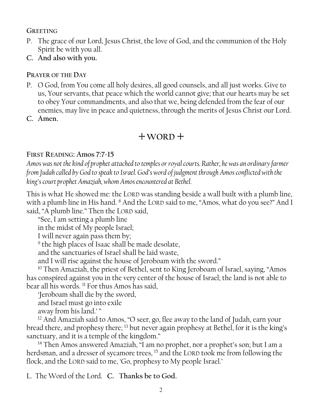### **GREETING**

- P. The grace of our Lord, Jesus Christ, the love of God, and the communion of the Holy Spirit be with you all.
- **C. And also with you.**

### **PRAYER OF THE DAY**

- P. O God, from You come all holy desires, all good counsels, and all just works. Give to us, Your servants, that peace which the world cannot give; that our hearts may be set to obey Your commandments, and also that we, being defended from the fear of our enemies, may live in peace and quietness, through the merits of Jesus Christ our Lord.
- **C. Amen.**

## + **WORD** +

### **FIRST READING: Amos 7:7-15**

*Amos was not the kind of prophet attached to temples or royal courts. Rather, he was an ordinary farmer from Judah called by God to speak to Israel. God's word of judgment through Amos conflicted with the king's court prophet Amaziah, whom Amos encountered at Bethel.* 

This is what He showed me: the LORD was standing beside a wall built with a plumb line, with a plumb line in His hand. <sup>8</sup> And the LORD said to me, "Amos, what do you see?" And I said, "A plumb line." Then the LORD said,

"See, I am setting a plumb line

in the midst of My people Israel;

I will never again pass them by;

<sup>9</sup> the high places of Isaac shall be made desolate,

and the sanctuaries of Israel shall be laid waste,

and I will rise against the house of Jeroboam with the sword."

<sup>10</sup> Then Amaziah, the priest of Bethel, sent to King Jeroboam of Israel, saying, "Amos has conspired against you in the very center of the house of Israel; the land is not able to bear all his words. <sup>11</sup> For thus Amos has said,

'Jeroboam shall die by the sword,

and Israel must go into exile

away from his land.' "

<sup>12</sup> And Amaziah said to Amos, "O seer, go, flee away to the land of Judah, earn your bread there, and prophesy there; <sup>13</sup> but never again prophesy at Bethel, for it is the king's sanctuary, and it is a temple of the kingdom."

<sup>14</sup> Then Amos answered Amaziah, "I am no prophet, nor a prophet's son; but I am a herdsman, and a dresser of sycamore trees, <sup>15</sup> and the LORD took me from following the flock, and the LORD said to me, 'Go, prophesy to My people Israel.'

L. The Word of the Lord. **C. Thanks be to God.**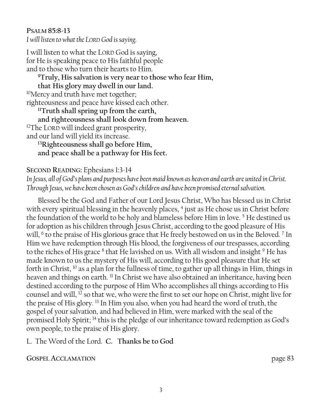**PSALM 85:8-13** *I will listen to what the LORD God is saying.*

I will listen to what the LORD God is saying, for He is speaking peace to His faithful people and to those who turn their hearts to Him. **<sup>9</sup>Truly, His salvation is very near to those who fear Him, that His glory may dwell in our land.**  <sup>10</sup>Mercy and truth have met together; righteousness and peace have kissed each other. **<sup>11</sup>Truth shall spring up from the earth, and righteousness shall look down from heaven.**  $12$ The LORD will indeed grant prosperity, and our land will yield its increase. **<sup>13</sup>Righteousness shall go before Him,**

**and peace shall be a pathway for His feet.**

### **SECOND READING:** Ephesians 1:3-14

*In Jesus, all of God's plans and purposes have been maid known as heaven and earth are united in Christ. Through Jesus, we have been chosen as God's children and have been promised eternal salvation.*

Blessed be the God and Father of our Lord Jesus Christ, Who has blessed us in Christ with every spiritual blessing in the heavenly places, <sup>4</sup> just as He chose us in Christ before the foundation of the world to be holy and blameless before Him in love.  $5$  He destined us for adoption as his children through Jesus Christ, according to the good pleasure of His will, <sup>6</sup> to the praise of His glorious grace that He freely bestowed on us in the Beloved. <sup>7</sup> In Him we have redemption through His blood, the forgiveness of our trespasses, according to the riches of His grace <sup>8</sup> that He lavished on us. With all wisdom and insight <sup>9</sup> He has made known to us the mystery of His will, according to His good pleasure that He set forth in Christ,  $10$  as a plan for the fullness of time, to gather up all things in Him, things in heaven and things on earth. <sup>11</sup> In Christ we have also obtained an inheritance, having been destined according to the purpose of Him Who accomplishes all things according to His counsel and will, <sup>12</sup> so that we, who were the first to set our hope on Christ, might live for the praise of His glory. <sup>13</sup> In Him you also, when you had heard the word of truth, the gospel of your salvation, and had believed in Him, were marked with the seal of the promised Holy Spirit; <sup>14</sup> this is the pledge of our inheritance toward redemption as God's own people, to the praise of His glory.

L. The Word of the Lord. **C. Thanks be to God**

**GOSPEL ACCLAMATION** page 83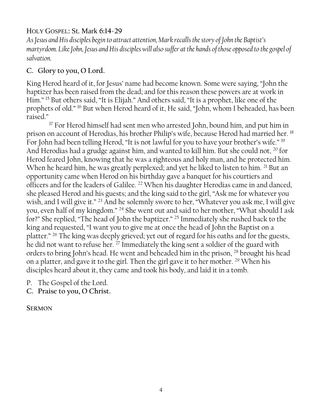### HOLY GOSPEL: St. Mark **6:14-29**

*As Jesus and His disciples begin to attract attention, Mark recalls the story of John the Baptist's martyrdom. Like John, Jesus and His disciples will also suffer at the hands of those opposed to the gospel of salvation.*

### **C. Glory to you, O Lord.**

King Herod heard of it, for Jesus' name had become known. Some were saying, "John the baptizer has been raised from the dead; and for this reason these powers are at work in Him." <sup>15</sup> But others said, "It is Elijah." And others said, "It is a prophet, like one of the prophets of old." <sup>16</sup> But when Herod heard of it, He said, "John, whom I beheaded, has been raised."

<sup>17</sup> For Herod himself had sent men who arrested John, bound him, and put him in prison on account of Herodias, his brother Philip's wife, because Herod had married her. <sup>18</sup> For John had been telling Herod, "It is not lawful for you to have your brother's wife." <sup>19</sup> And Herodias had a grudge against him, and wanted to kill him. But she could not, <sup>20</sup> for Herod feared John, knowing that he was a righteous and holy man, and he protected him. When he heard him, he was greatly perplexed; and yet he liked to listen to him. <sup>21</sup> But an opportunity came when Herod on his birthday gave a banquet for his courtiers and officers and for the leaders of Galilee. <sup>22</sup> When his daughter Herodias came in and danced, she pleased Herod and his guests; and the king said to the girl, "Ask me for whatever you wish, and I will give it."<sup>23</sup> And he solemnly swore to her, "Whatever you ask me, I will give you, even half of my kingdom." <sup>24</sup> She went out and said to her mother, "What should I ask for?" She replied, "The head of John the baptizer." <sup>25</sup> Immediately she rushed back to the king and requested, "I want you to give me at once the head of John the Baptist on a platter." <sup>26</sup> The king was deeply grieved; yet out of regard for his oaths and for the guests, he did not want to refuse her. <sup>27</sup> Immediately the king sent a soldier of the guard with orders to bring John's head. He went and beheaded him in the prison, <sup>28</sup> brought his head on a platter, and gave it to the girl. Then the girl gave it to her mother. <sup>29</sup> When his disciples heard about it, they came and took his body, and laid it in a tomb.

P. The Gospel of the Lord.

**C. Praise to you, O Christ.**

**SERMON**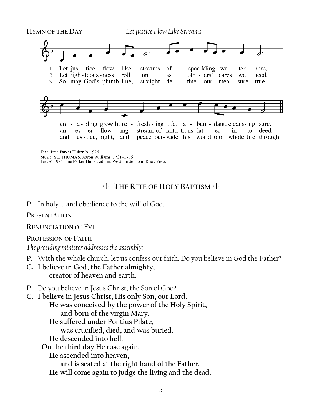

Music: ST. THOMAS, Aaron Williams, 1731-1776<br>Text © 1984 Jane Parker Huber, admin. Westminster John Knox Press

### + **THE RITE OF HOLY BAPTISM** +

**P.** In holy … and obedience to the will of God.

#### **PRESENTATION**

**RENUNCIATION OF EVIL**

#### **PROFESSION OF FAITH**

*The presiding minister addresses the assembly:*

- **P.** With the whole church, let us confess our faith. Do you believe in God the Father?
- **C. I believe in God, the Father almighty, creator of heaven and earth.**
- **P.** Do you believe in Jesus Christ, the Son of God?
- **C. I believe in Jesus Christ, His only Son, our Lord. He was conceived by the power of the Holy Spirit, and born of the virgin Mary. He suffered under Pontius Pilate, was crucified, died, and was buried. He descended into hell. On the third day He rose again. He ascended into heaven, and is seated at the right hand of the Father. He will come again to judge the living and the dead.**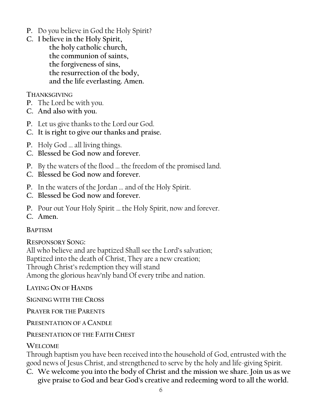- **P.** Do you believe in God the Holy Spirit?
- **C. I believe in the Holy Spirit, the holy catholic church, the communion of saints, the forgiveness of sins, the resurrection of the body, and the life everlasting. Amen.**

### **THANKSGIVING**

- **P.** The Lord be with you.
- **C. And also with you.**
- **P.** Let us give thanks to the Lord our God.
- **C. It is right to give our thanks and praise.**
- **P.** Holy God … all living things.
- **C. Blessed be God now and forever.**
- **P.** By the waters of the flood … the freedom of the promised land.
- **C. Blessed be God now and forever.**
- **P.** In the waters of the Jordan … and of the Holy Spirit.
- **C. Blessed be God now and forever.**
- **P.** Pour out Your Holy Spirit … the Holy Spirit, now and forever.
- **C. Amen.**

### **BAPTISM**

**RESPONSORY SONG:**

All who believe and are baptized Shall see the Lord's salvation; Baptized into the death of Christ, They are a new creation; Through Christ's redemption they will stand Among the glorious heav'nly band Of every tribe and nation.

**LAYING ON OF HANDS**

**SIGNING WITH THE CROSS**

**PRAYER FOR THE PARENTS**

**PRESENTATION OF A CANDLE**

**PRESENTATION OF THE FAITH CHEST**

### **WELCOME**

Through baptism you have been received into the household of God, entrusted with the good news of Jesus Christ, and strengthened to serve by the holy and life-giving Spirit.

**C. We welcome you into the body of Christ and the mission we share. Join us as we give praise to God and bear God's creative and redeeming word to all the world.**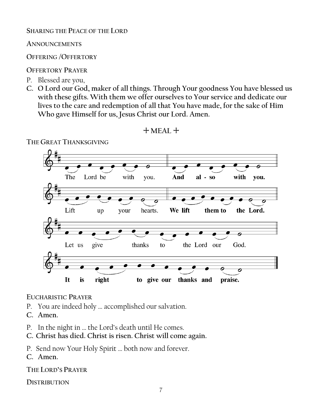### **SHARING THE PEACE OF THE LORD**

**ANNOUNCEMENTS**

**OFFERING /OFFERTORY**

### **OFFERTORY PRAYER**

- P. Blessed are you,
- **C. O Lord our God, maker of all things. Through Your goodness You have blessed us with these gifts. With them we offer ourselves to Your service and dedicate our lives to the care and redemption of all that You have made, for the sake of Him Who gave Himself for us, Jesus Christ our Lord. Amen.**



+ **MEAL** +

### **EUCHARISTIC PRAYER**

- P. You are indeed holy … accomplished our salvation.
- **C. Amen.**
- P. In the night in … the Lord's death until He comes.
- **C. Christ has died. Christ is risen. Christ will come again.**

P. Send now Your Holy Spirit … both now and forever.

**C. Amen.**

**THE LORD'S PRAYER**

**DISTRIBUTION**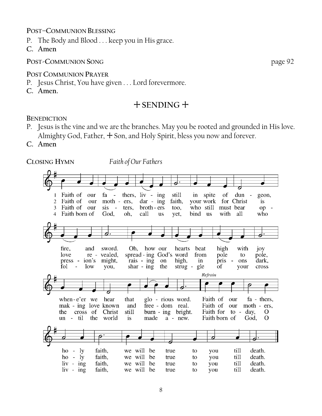#### **POST–COMMUNION BLESSING**

- P. The Body and Blood . . . keep you in His grace.
- **C. Amen**

#### **POST-COMMUNION SONG** page 92

#### **POST COMMUNION PRAYER**

- P. Jesus Christ, You have given . . . Lord forevermore.
- **C. Amen.**

### + **SENDING** +

#### **BENEDICTION**

- P. Jesus is the vine and we are the branches. May you be rooted and grounded in His love. Almighty God, Father,  $+$  Son, and Holy Spirit, bless you now and forever.
- **C. Amen**

**CLOSING HYMN** *Faith of Our Fathers*

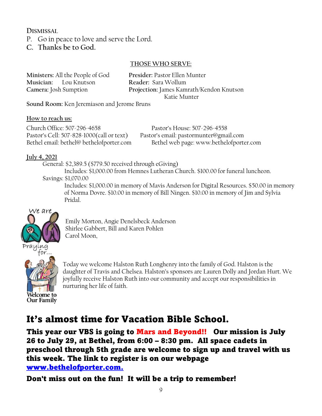**DISMISSAL** 

P. Go in peace to love and serve the Lord.

**C. Thanks be to God.**

### **THOSE WHO SERVE:**

| Ministers: All the People of God | Presider: Pastor Ellen Munter            |
|----------------------------------|------------------------------------------|
| Musician: Lou Knutson            | Reader: Sara Wollum                      |
| Camera: Josh Sumption            | Projection: James Kamrath/Kendon Knutson |
|                                  | Katie Munter                             |

**Sound Room:** Ken Jeremiason and Jerome Bruns

#### **How to reach us:**

Church Office: 507-296-4658 Pastor's House: 507-296-4558 Pastor's Cell: 507-828-1000(call or text) Pastor's email: pastormunter@gmail.com

Bethel email: bethel@ bethelofporter.com Bethel web page: www.bethelofporter.com

### **July 4, 2021**

 General: \$2,389.5 (\$779.50 received through eGiving) Includes: \$1,000.00 from Hemnes Lutheran Church. \$100.00 for funeral luncheon. Savings: \$1,070.00

Includes: \$1,000.00 in memory of Mavis Anderson for Digital Resources. \$50.00 in memory of Norma Dovre. \$10.00 in memory of Bill Ningen. \$10.00 in memory of Jim and Sylvia Pridal.



Emily Morton, Angie Denelsbeck Anderson Shirlee Gabbert, Bill and Karen Pohlen Carol Moon,



Today we welcome Halston Ruth Longhenry into the family of God. Halston is the daughter of Travis and Chelsea. Halston's sponsors are Lauren Dolly and Jordan Hurt. We joyfully receive Halston Ruth into our community and accept our responsibilities in nurturing her life of faith.

# It's almost time for Vacation Bible School.

This year our VBS is going to Mars and Beyond!! Our mission is July 26 to July 29, at Bethel, from 6:00 – 8:30 pm. All space cadets in preschool through 5th grade are welcome to sign up and travel with us this week. The link to register is on our webpage [www.bethelofporter.com.](http://www.bethelofporter.com./)

Don't miss out on the fun! It will be a trip to remember!